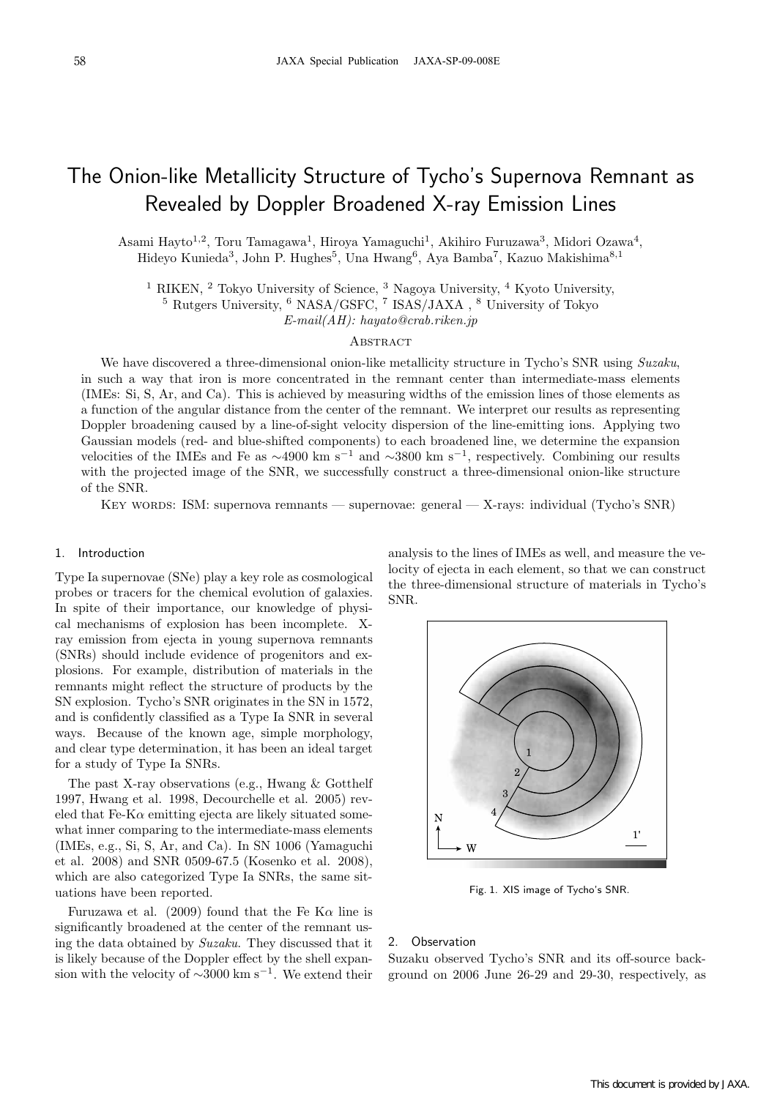# The Onion-like Metallicity Structure of Tycho's Supernova Remnant as Revealed by Doppler Broadened X-ray Emission Lines

Asami Hayto<sup>1,2</sup>, Toru Tamagawa<sup>1</sup>, Hiroya Yamaguchi<sup>1</sup>, Akihiro Furuzawa<sup>3</sup>, Midori Ozawa<sup>4</sup>, Hideyo Kunieda<sup>3</sup>, John P. Hughes<sup>5</sup>, Una Hwang<sup>6</sup>, Aya Bamba<sup>7</sup>, Kazuo Makishima<sup>8,1</sup>

<sup>1</sup> RIKEN, <sup>2</sup> Tokyo University of Science, <sup>3</sup> Nagoya University, <sup>4</sup> Kyoto University, <sup>5</sup> Rutgers University, <sup>6</sup> NASA/GSFC, <sup>7</sup> ISAS/JAXA , <sup>8</sup> University of Tokyo

E-mail(AH): hayato@crab.riken.jp

# **ABSTRACT**

We have discovered a three-dimensional onion-like metallicity structure in Tycho's SNR using Suzaku, in such a way that iron is more concentrated in the remnant center than intermediate-mass elements (IMEs: Si, S, Ar, and Ca). This is achieved by measuring widths of the emission lines of those elements as a function of the angular distance from the center of the remnant. We interpret our results as representing Doppler broadening caused by a line-of-sight velocity dispersion of the line-emitting ions. Applying two Gaussian models (red- and blue-shifted components) to each broadened line, we determine the expansion velocities of the IMEs and Fe as  $\sim$ 4900 km s<sup>-1</sup> and  $\sim$ 3800 km s<sup>-1</sup>, respectively. Combining our results with the projected image of the SNR, we successfully construct a three-dimensional onion-like structure of the SNR.

Key words: ISM: supernova remnants — supernovae: general — X-rays: individual (Tycho's SNR)

## 1. Introduction

Type Ia supernovae (SNe) play a key role as cosmological probes or tracers for the chemical evolution of galaxies. In spite of their importance, our knowledge of physical mechanisms of explosion has been incomplete. Xray emission from ejecta in young supernova remnants (SNRs) should include evidence of progenitors and explosions. For example, distribution of materials in the remnants might reflect the structure of products by the SN explosion. Tycho's SNR originates in the SN in 1572, and is confidently classified as a Type Ia SNR in several ways. Because of the known age, simple morphology, and clear type determination, it has been an ideal target for a study of Type Ia SNRs.

The past X-ray observations (e.g., Hwang & Gotthelf 1997, Hwang et al. 1998, Decourchelle et al. 2005) reveled that Fe-K $\alpha$  emitting ejecta are likely situated somewhat inner comparing to the intermediate-mass elements (IMEs, e.g., Si, S, Ar, and Ca). In SN 1006 (Yamaguchi et al. 2008) and SNR 0509-67.5 (Kosenko et al. 2008), which are also categorized Type Ia SNRs, the same situations have been reported.

Furuzawa et al. (2009) found that the Fe K $\alpha$  line is significantly broadened at the center of the remnant using the data obtained by Suzaku. They discussed that it is likely because of the Doppler effect by the shell expansion with the velocity of  $\sim$ 3000 km s<sup>−1</sup>. We extend their

analysis to the lines of IMEs as well, and measure the velocity of ejecta in each element, so that we can construct the three-dimensional structure of materials in Tycho's SNR.



Fig. 1. XIS image of Tycho's SNR.

## 2. Observation

Suzaku observed Tycho's SNR and its off-source background on 2006 June 26-29 and 29-30, respectively, as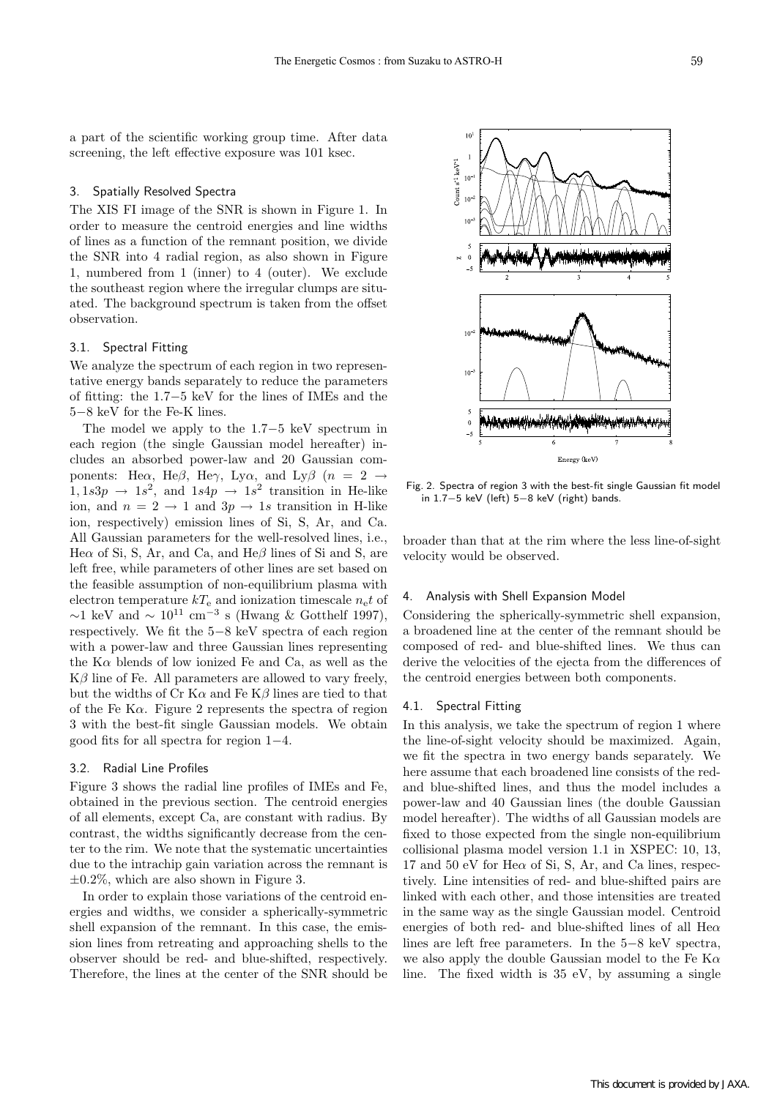a part of the scientific working group time. After data screening, the left effective exposure was 101 ksec.

# 3. Spatially Resolved Spectra

The XIS FI image of the SNR is shown in Figure 1. In order to measure the centroid energies and line widths of lines as a function of the remnant position, we divide the SNR into 4 radial region, as also shown in Figure 1, numbered from 1 (inner) to 4 (outer). We exclude the southeast region where the irregular clumps are situated. The background spectrum is taken from the offset observation.

# 3.1. Spectral Fitting

We analyze the spectrum of each region in two representative energy bands separately to reduce the parameters of fitting: the 1.7−5 keV for the lines of IMEs and the 5−8 keV for the Fe-K lines.

The model we apply to the 1.7−5 keV spectrum in each region (the single Gaussian model hereafter) includes an absorbed power-law and 20 Gaussian components: He $\alpha$ , He $\beta$ , He $\gamma$ , Ly $\alpha$ , and Ly $\beta$  (n = 2  $\rightarrow$  $1, 1s3p \rightarrow 1s^2$ , and  $1s4p \rightarrow 1s^2$  transition in He-like ion, and  $n = 2 \rightarrow 1$  and  $3p \rightarrow 1s$  transition in H-like ion, respectively) emission lines of Si, S, Ar, and Ca. All Gaussian parameters for the well-resolved lines, i.e., He $\alpha$  of Si, S, Ar, and Ca, and He $\beta$  lines of Si and S, are left free, while parameters of other lines are set based on the feasible assumption of non-equilibrium plasma with electron temperature  $kT_e$  and ionization timescale  $n_e t$  of  $\sim$ 1 keV and  $\sim 10^{11}$  cm<sup>-3</sup> s (Hwang & Gotthelf 1997), respectively. We fit the 5−8 keV spectra of each region with a power-law and three Gaussian lines representing the  $K\alpha$  blends of low ionized Fe and Ca, as well as the  $\mathrm{K}\beta$  line of Fe. All parameters are allowed to vary freely, but the widths of Cr K $\alpha$  and Fe K $\beta$  lines are tied to that of the Fe K $\alpha$ . Figure 2 represents the spectra of region 3 with the best-fit single Gaussian models. We obtain good fits for all spectra for region 1−4.

### 3.2. Radial Line Profiles

Figure 3 shows the radial line profiles of IMEs and Fe, obtained in the previous section. The centroid energies of all elements, except Ca, are constant with radius. By contrast, the widths significantly decrease from the center to the rim. We note that the systematic uncertainties due to the intrachip gain variation across the remnant is  $\pm 0.2\%$ , which are also shown in Figure 3.

In order to explain those variations of the centroid energies and widths, we consider a spherically-symmetric shell expansion of the remnant. In this case, the emission lines from retreating and approaching shells to the observer should be red- and blue-shifted, respectively. Therefore, the lines at the center of the SNR should be



Fig. 2. Spectra of region 3 with the best-fit single Gaussian fit model in 1.7−5 keV (left) 5−8 keV (right) bands.

broader than that at the rim where the less line-of-sight velocity would be observed.

# 4. Analysis with Shell Expansion Model

Considering the spherically-symmetric shell expansion, a broadened line at the center of the remnant should be composed of red- and blue-shifted lines. We thus can derive the velocities of the ejecta from the differences of the centroid energies between both components.

# 4.1. Spectral Fitting

In this analysis, we take the spectrum of region 1 where the line-of-sight velocity should be maximized. Again, we fit the spectra in two energy bands separately. We here assume that each broadened line consists of the redand blue-shifted lines, and thus the model includes a power-law and 40 Gaussian lines (the double Gaussian model hereafter). The widths of all Gaussian models are fixed to those expected from the single non-equilibrium collisional plasma model version 1.1 in XSPEC: 10, 13, 17 and 50 eV for He $\alpha$  of Si, S, Ar, and Ca lines, respectively. Line intensities of red- and blue-shifted pairs are linked with each other, and those intensities are treated in the same way as the single Gaussian model. Centroid energies of both red- and blue-shifted lines of all He $\alpha$ lines are left free parameters. In the 5−8 keV spectra, we also apply the double Gaussian model to the Fe  $K\alpha$ line. The fixed width is 35 eV, by assuming a single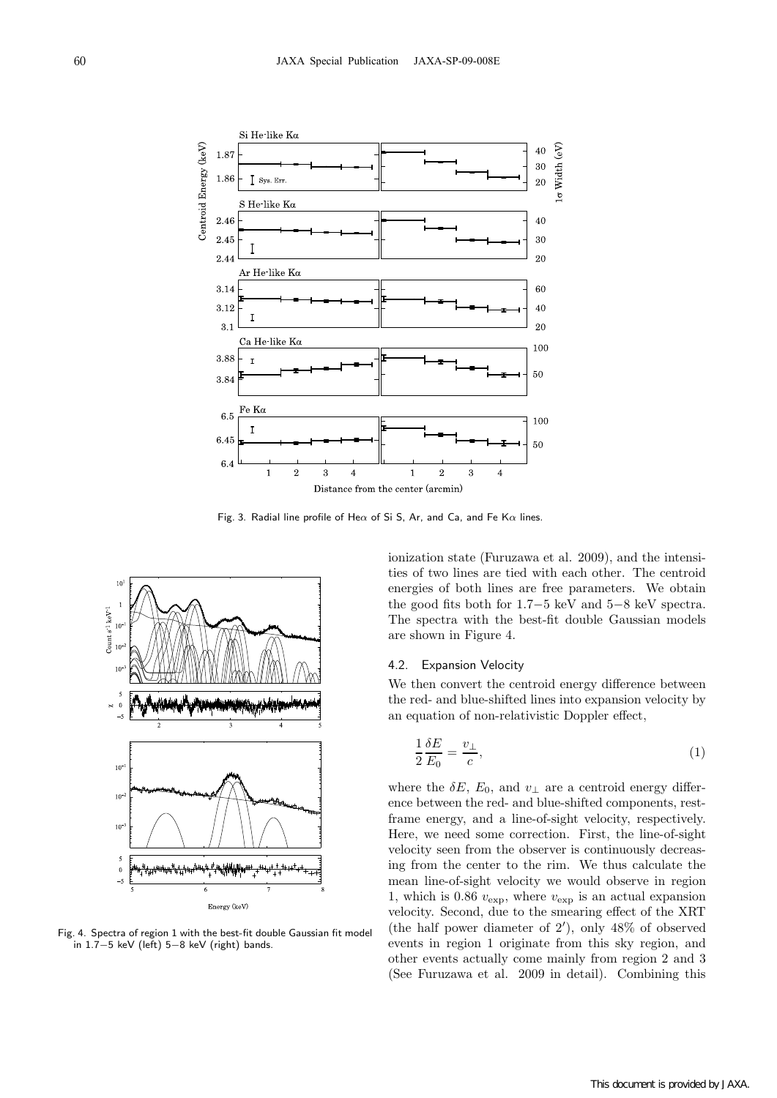

Fig. 3. Radial line profile of He $\alpha$  of Si S, Ar, and Ca, and Fe K $\alpha$  lines.



Fig. 4. Spectra of region 1 with the best-fit double Gaussian fit model in 1.7−5 keV (left) 5−8 keV (right) bands.

ionization state (Furuzawa et al. 2009), and the intensities of two lines are tied with each other. The centroid energies of both lines are free parameters. We obtain the good fits both for 1.7−5 keV and 5−8 keV spectra. The spectra with the best-fit double Gaussian models are shown in Figure 4.

#### 4.2. Expansion Velocity

We then convert the centroid energy difference between the red- and blue-shifted lines into expansion velocity by an equation of non-relativistic Doppler effect,

$$
\frac{1}{2}\frac{\delta E}{E_0} = \frac{v_\perp}{c},\tag{1}
$$

where the  $\delta E$ ,  $E_0$ , and  $v_{\perp}$  are a centroid energy difference between the red- and blue-shifted components, restframe energy, and a line-of-sight velocity, respectively. Here, we need some correction. First, the line-of-sight velocity seen from the observer is continuously decreasing from the center to the rim. We thus calculate the mean line-of-sight velocity we would observe in region 1, which is 0.86  $v_{\exp}$ , where  $v_{\exp}$  is an actual expansion velocity. Second, due to the smearing effect of the XRT (the half power diameter of 2′ ), only 48% of observed events in region 1 originate from this sky region, and other events actually come mainly from region 2 and 3 (See Furuzawa et al. 2009 in detail). Combining this